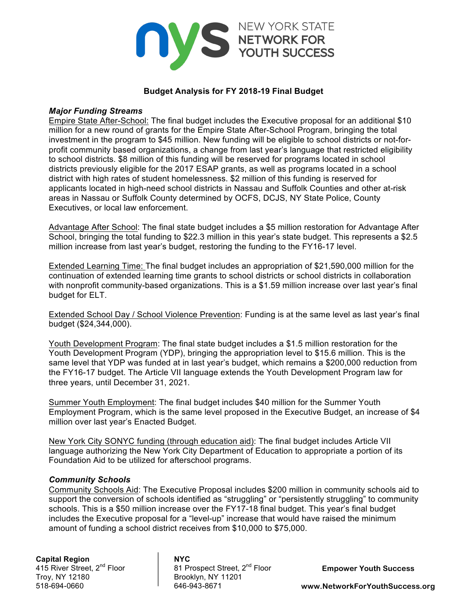

## **Budget Analysis for FY 2018-19 Final Budget**

#### *Major Funding Streams*

Empire State After-School: The final budget includes the Executive proposal for an additional \$10 million for a new round of grants for the Empire State After-School Program, bringing the total investment in the program to \$45 million. New funding will be eligible to school districts or not-forprofit community based organizations, a change from last year's language that restricted eligibility to school districts. \$8 million of this funding will be reserved for programs located in school districts previously eligible for the 2017 ESAP grants, as well as programs located in a school district with high rates of student homelessness. \$2 million of this funding is reserved for applicants located in high-need school districts in Nassau and Suffolk Counties and other at-risk areas in Nassau or Suffolk County determined by OCFS, DCJS, NY State Police, County Executives, or local law enforcement.

Advantage After School: The final state budget includes a \$5 million restoration for Advantage After School, bringing the total funding to \$22.3 million in this year's state budget. This represents a \$2.5 million increase from last year's budget, restoring the funding to the FY16-17 level.

Extended Learning Time: The final budget includes an appropriation of \$21,590,000 million for the continuation of extended learning time grants to school districts or school districts in collaboration with nonprofit community-based organizations. This is a \$1.59 million increase over last year's final budget for ELT.

Extended School Day / School Violence Prevention: Funding is at the same level as last year's final budget (\$24,344,000).

Youth Development Program: The final state budget includes a \$1.5 million restoration for the Youth Development Program (YDP), bringing the appropriation level to \$15.6 million. This is the same level that YDP was funded at in last year's budget, which remains a \$200,000 reduction from the FY16-17 budget. The Article VII language extends the Youth Development Program law for three years, until December 31, 2021.

Summer Youth Employment: The final budget includes \$40 million for the Summer Youth Employment Program, which is the same level proposed in the Executive Budget, an increase of \$4 million over last year's Enacted Budget.

New York City SONYC funding (through education aid): The final budget includes Article VII language authorizing the New York City Department of Education to appropriate a portion of its Foundation Aid to be utilized for afterschool programs.

#### *Community Schools*

Community Schools Aid: The Executive Proposal includes \$200 million in community schools aid to support the conversion of schools identified as "struggling" or "persistently struggling" to community schools. This is a \$50 million increase over the FY17-18 final budget. This year's final budget includes the Executive proposal for a "level-up" increase that would have raised the minimum amount of funding a school district receives from \$10,000 to \$75,000.

**Capital Region NYC** 518-694-0660 646-943-8671

81 Prospect Street, 2<sup>nd</sup> Floor Troy, NY 12180 Brooklyn, NY 11201

**Empower Youth Success**